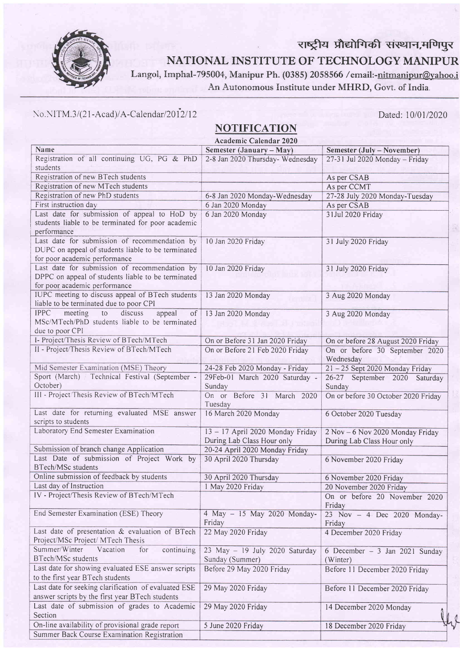

राष्ट्रीय प्रौद्योगिकी संस्थान,मणिपुर NATIONAL INSTITUTE OF TECHNOLOGY MANIPUR

Langol, Imphal-795004, Manipur Ph. (0385) 2058566 /email:-nitmanipur@yahoo.i An Autonomous Institute under MHRD, Govt. of India.

## No.NITM .3/(21-Acad)/A-Calendar/2012/12 Dated: 10/01/2020

Summer Back Course Examination Registration

## NOTIFICATION

Academic Calendar 2020 Name Semester (January – May) Semester (July – November)<br>27-31 Jul 2020 Monday – Friday Registration of all continuing UG, PG & PhD 2-8 Jan 2020 Thursday- Wednesday students Registration of new BTech students As per CSAB Registration of new MTech students<br>
Registration of new PhD students 6-8 Jan 2020 Monday-Wednesday 27-28 July 202 6-8 Jan 2020 Monday-Wednesday 27-28 July 2020 Monday-Tuesday First instruction day **As per CSAB** Last date for submission of appeal to HoD by 6 Jan 2020 Mondav 3lJul 2020 Friday students liable to be terminated for poor academic performance Last date for submission of recommendation by l0 Jan 2020 Friday' 3l July 2020 Friday DUPC on appeal of students liable to be terminated for poor academic performance Last date for submission of recommendation by I0 Jan 2020 Friday 3l July 2020 Friday DPPC on appeal of students liable to be terminated for poor academic performance IUPC meeting to discuss appeal of BTech students l3 Jan 2020 Mondav 3 Aug 2020 Monday liable to be terminated due to poor CPI IPPC meeting to discuss appeal of 13 Jan 2020 Monday 3 Aug 2020 Monday MSc/MTech/PhD students liable to be terminated due to poor CPI I- Project/Thesis Review of BTech/MTech On or Before 31 Jan 2020 Friday On or before 28 August 2020 Friday II- Project/Thesis Review of BTech/MTech On or Before 21 Feb 2020 Friday On or before 30 September 2020 On or before 30 September 2020 Wednesday Mid Semester Examination (MSE) Theory 24-28 Feb 2020 Mondav - Fridav 2l -25 Sept 2020 Monday Friday Sport (March) / Technical Festival (September -29Feb-01 March 2020 Saturday 26-27 September 2020 Saturday October) Sunday Sunday III - Project Thesis Review of BTech/MTech On or Before 31 March 2020 On or before 30 October 2020 Friday Tuesdav Last date for returning evaluated MSE answer 16 March 2020 Monday 6 October 2020 Tuesday scripts to students Laboratory End Semester Examination 13 - 17 April 2020 Monday Friday 2 Nov - 6 Nov 2020 Monday Friday During Lab Class Hour only During Lab Class Hour only Submission of branch change Application 20-24 April 2020 Monday Friday Last Date of submission of Project Work by 30 April 2020 Thursday 6 November 2020 Friday BTech/MSc students Online submission of feedback by students 30 April 2020 Thursday 6 November 2020 Friday<br>
1 May 2020 Friday 20 November 2020 Friday 20 November 2020 Friday IV - Project/Thesis Review of BTech/MTech On or before 20 November 2020 Friday End Semester Examination (ESE) Theory 4 May - 15 May 2020 Monday- $23$  Nov  $-4$  Dec 2020 Monday-Friday Friday Last date of presentation & evaluation of BTech 22 May 2020 Friday 4 December 2020 Friday Project/MSc Project/ MTech Thesis Summer/Winter Vacation for continuing 23 May - 19 July 2020 Saturday 6 December - 3 Jan 2021 Sundav BTech/MSc students Sunday (Summer) (Winter) Last date for showing evaluated ESE answer scripts Before 29 May 2020 Friday Before 11 December 2020 Friday to the first vear BTech students Last date for seeking clarification of evaluated ESE 29 May 2020 Friday Before II December 2020 Friday answer scripts by the first year BTech students Last date of submission of grades to Academic 29 May 2020 Friday 14 December 2020 Monday Section  $\overline{\phantom{a}}$ On-line availability of provisional grade report 5 June 2020 Friday 18 December 2020 Friday